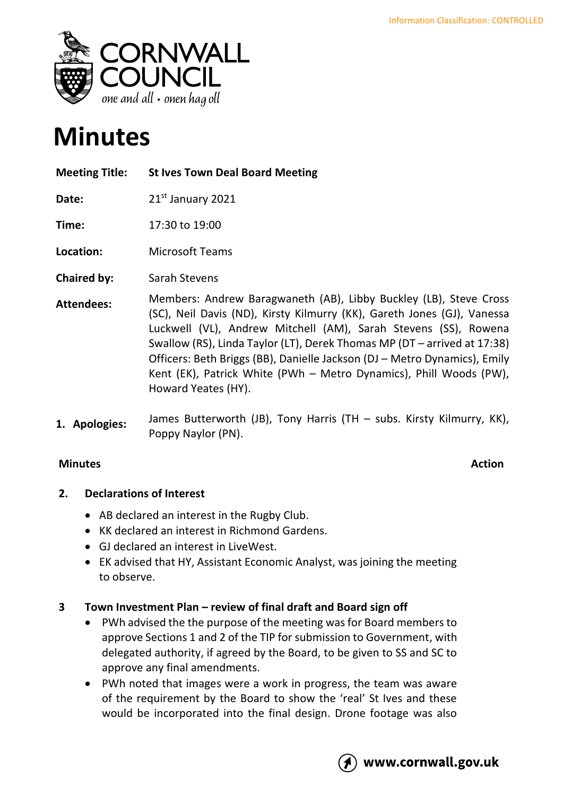

# **Minutes**

**Meeting Title: St Ives Town Deal Board Meeting** 

Date: 21<sup>st</sup> January 2021

**Time:** 17:30 to 19:00

**Location:** Microsoft Teams

- **Chaired by:** Sarah Stevens
- **Attendees:** Members: Andrew Baragwaneth (AB), Libby Buckley (LB), Steve Cross (SC), Neil Davis (ND), Kirsty Kilmurry (KK), Gareth Jones (GJ), Vanessa Luckwell (VL), Andrew Mitchell (AM), Sarah Stevens (SS), Rowena Swallow (RS), Linda Taylor (LT), Derek Thomas MP (DT – arrived at 17:38) Officers: Beth Briggs (BB), Danielle Jackson (DJ – Metro Dynamics), Emily Kent (EK), Patrick White (PWh – Metro Dynamics), Phill Woods (PW), Howard Yeates (HY).
- **1. Apologies:** James Butterworth (JB), Tony Harris (TH – subs. Kirsty Kilmurry, KK), Poppy Naylor (PN).

## **Minutes Action**

### **2. Declarations of Interest**

- AB declared an interest in the Rugby Club.
- KK declared an interest in Richmond Gardens.
- GJ declared an interest in LiveWest.
- EK advised that HY, Assistant Economic Analyst, was joining the meeting to observe.

### **3 Town Investment Plan – review of final draft and Board sign off**

- PWh advised the the purpose of the meeting was for Board members to approve Sections 1 and 2 of the TIP for submission to Government, with delegated authority, if agreed by the Board, to be given to SS and SC to approve any final amendments.
- PWh noted that images were a work in progress, the team was aware of the requirement by the Board to show the 'real' St Ives and these would be incorporated into the final design. Drone footage was also

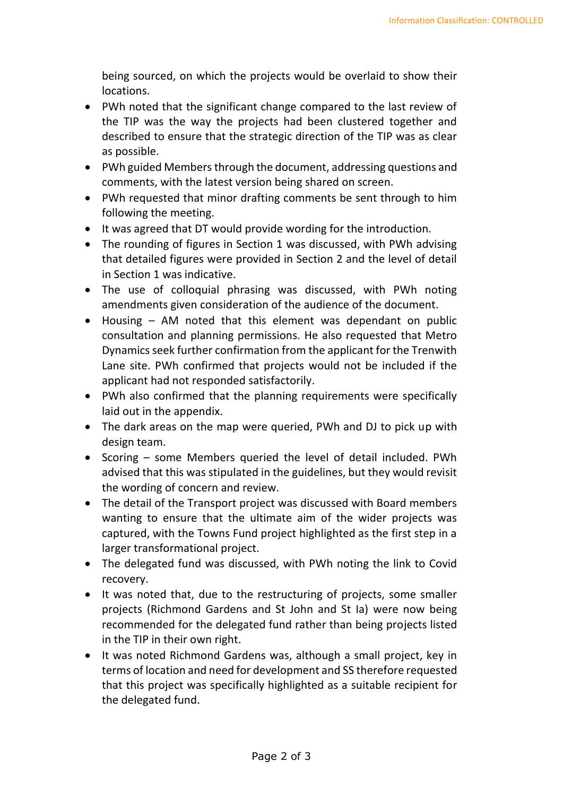being sourced, on which the projects would be overlaid to show their locations.

- PWh noted that the significant change compared to the last review of the TIP was the way the projects had been clustered together and described to ensure that the strategic direction of the TIP was as clear as possible.
- PWh guided Members through the document, addressing questions and comments, with the latest version being shared on screen.
- PWh requested that minor drafting comments be sent through to him following the meeting.
- It was agreed that DT would provide wording for the introduction.
- The rounding of figures in Section 1 was discussed, with PWh advising that detailed figures were provided in Section 2 and the level of detail in Section 1 was indicative.
- The use of colloquial phrasing was discussed, with PWh noting amendments given consideration of the audience of the document.
- Housing AM noted that this element was dependant on public consultation and planning permissions. He also requested that Metro Dynamics seek further confirmation from the applicant for the Trenwith Lane site. PWh confirmed that projects would not be included if the applicant had not responded satisfactorily.
- PWh also confirmed that the planning requirements were specifically laid out in the appendix.
- The dark areas on the map were queried, PWh and DJ to pick up with design team.
- Scoring some Members queried the level of detail included. PWh advised that this was stipulated in the guidelines, but they would revisit the wording of concern and review.
- The detail of the Transport project was discussed with Board members wanting to ensure that the ultimate aim of the wider projects was captured, with the Towns Fund project highlighted as the first step in a larger transformational project.
- The delegated fund was discussed, with PWh noting the link to Covid recovery.
- It was noted that, due to the restructuring of projects, some smaller projects (Richmond Gardens and St John and St Ia) were now being recommended for the delegated fund rather than being projects listed in the TIP in their own right.
- It was noted Richmond Gardens was, although a small project, key in terms of location and need for development and SS therefore requested that this project was specifically highlighted as a suitable recipient for the delegated fund.